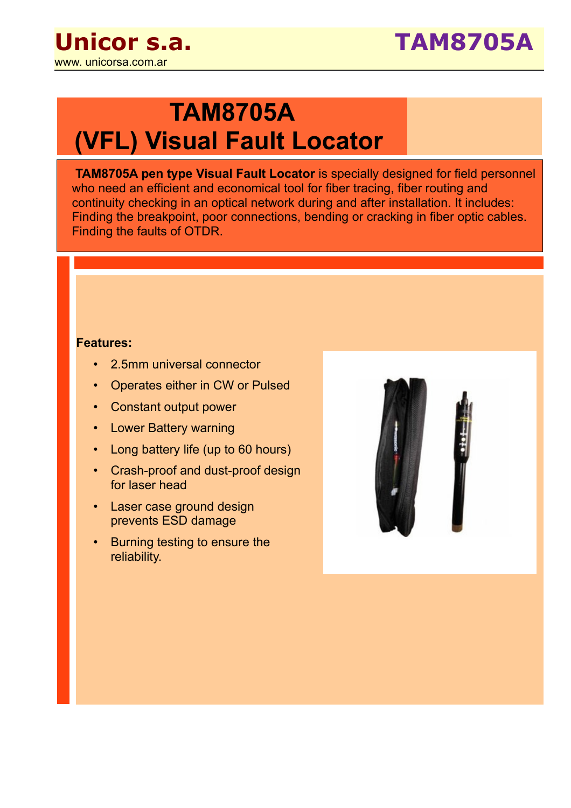

## **TAM8705A (VFL) Visual Fault Locator**

**TAM8705A pen type Visual Fault Locator** is specially designed for field personnel who need an efficient and economical tool for fiber tracing, fiber routing and continuity checking in an optical network during and after installation. It includes: Finding the breakpoint, poor connections, bending or cracking in fiber optic cables. Finding the faults of OTDR.

## **Features:**

- 2.5mm universal connector
- Operates either in CW or Pulsed
- Constant output power
- Lower Battery warning
- Long battery life (up to 60 hours)
- Crash-proof and dust-proof design for laser head
- Laser case ground design prevents ESD damage
- Burning testing to ensure the reliability.